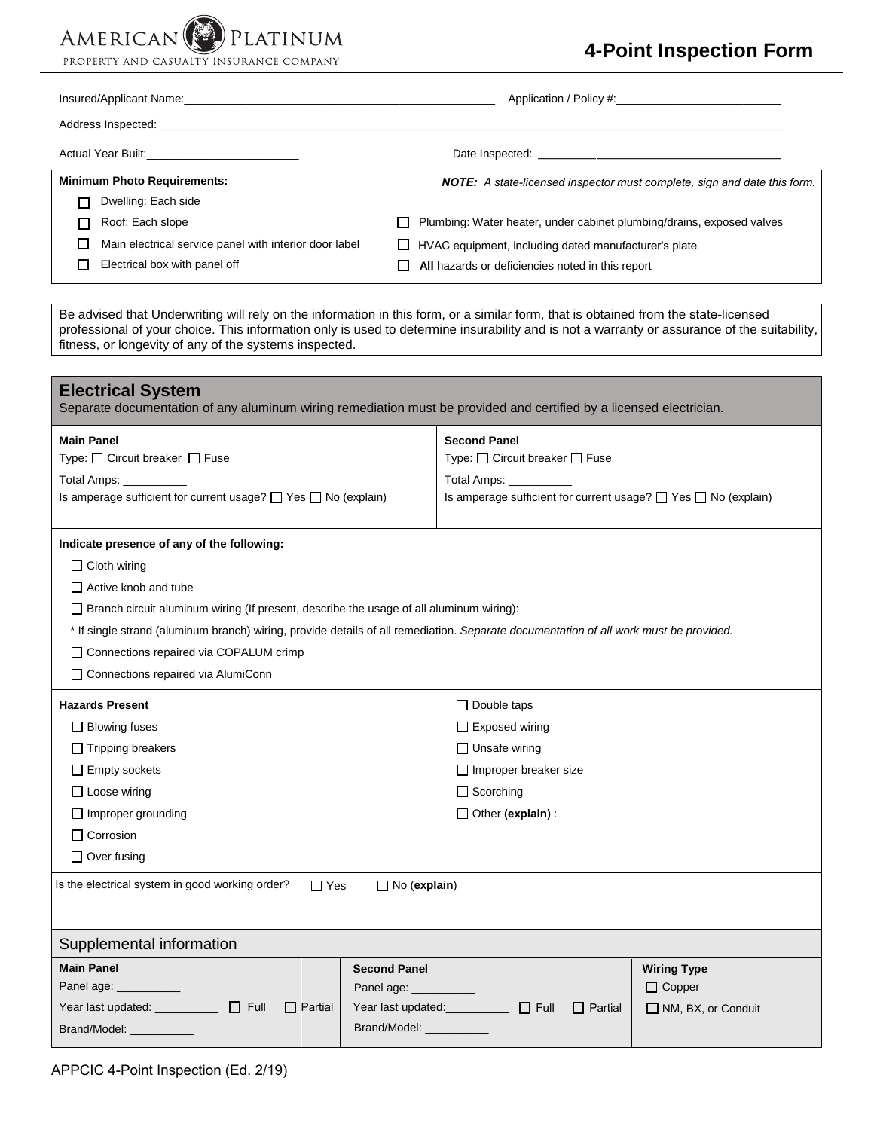PROPERTY AND CASUALTY INSURANCE COMPANY

PLATINUM

AMERICAN

# **4-Point Inspection Form**

| Insured/Applicant Name: Name: Name: Name: Name: Name: Name: Name: Name: Name: Name: Name: Name: Name: Name: Name: Name: Name: Name: Name: Name: Name: Name: Name: Name: Name: Name: Name: Name: Name: Name: Name: Name: Name:  |                                                        |                                                                                 |                                                                       |  |
|--------------------------------------------------------------------------------------------------------------------------------------------------------------------------------------------------------------------------------|--------------------------------------------------------|---------------------------------------------------------------------------------|-----------------------------------------------------------------------|--|
| Address Inspected: Note that the contract of the contract of the contract of the contract of the contract of the contract of the contract of the contract of the contract of the contract of the contract of the contract of t |                                                        |                                                                                 |                                                                       |  |
| Actual Year Built: Actual Year Built:                                                                                                                                                                                          |                                                        | Date Inspected: <u>Date Inspected:</u>                                          |                                                                       |  |
| <b>Minimum Photo Requirements:</b>                                                                                                                                                                                             |                                                        | <b>NOTE:</b> A state-licensed inspector must complete, sign and date this form. |                                                                       |  |
|                                                                                                                                                                                                                                | Dwelling: Each side                                    |                                                                                 |                                                                       |  |
|                                                                                                                                                                                                                                | Roof: Each slope                                       |                                                                                 | Plumbing: Water heater, under cabinet plumbing/drains, exposed valves |  |
|                                                                                                                                                                                                                                | Main electrical service panel with interior door label |                                                                                 | HVAC equipment, including dated manufacturer's plate                  |  |
|                                                                                                                                                                                                                                | Electrical box with panel off                          |                                                                                 | All hazards or deficiencies noted in this report                      |  |

Be advised that Underwriting will rely on the information in this form, or a similar form, that is obtained from the state-licensed professional of your choice. This information only is used to determine insurability and is not a warranty or assurance of the suitability, fitness, or longevity of any of the systems inspected.

| <b>Electrical System</b><br>Separate documentation of any aluminum wiring remediation must be provided and certified by a licensed electrician.                                                                                                                                                                                                                                                                            |                                                                                                                                                             |  |  |  |  |  |
|----------------------------------------------------------------------------------------------------------------------------------------------------------------------------------------------------------------------------------------------------------------------------------------------------------------------------------------------------------------------------------------------------------------------------|-------------------------------------------------------------------------------------------------------------------------------------------------------------|--|--|--|--|--|
| <b>Main Panel</b><br>Type: □ Circuit breaker □ Fuse<br>Total Amps: __________<br>Is amperage sufficient for current usage? □ Yes □ No (explain)                                                                                                                                                                                                                                                                            | <b>Second Panel</b><br>Type: □ Circuit breaker □ Fuse<br>Total Amps: __________<br>Is amperage sufficient for current usage? $\Box$ Yes $\Box$ No (explain) |  |  |  |  |  |
| Indicate presence of any of the following:<br>$\Box$ Cloth wiring<br>$\Box$ Active knob and tube<br>□ Branch circuit aluminum wiring (If present, describe the usage of all aluminum wiring):<br>* If single strand (aluminum branch) wiring, provide details of all remediation. Separate documentation of all work must be provided.<br>□ Connections repaired via COPALUM crimp<br>□ Connections repaired via AlumiConn |                                                                                                                                                             |  |  |  |  |  |
| <b>Hazards Present</b><br>$\Box$ Blowing fuses<br>$\Box$ Tripping breakers<br>$\Box$ Empty sockets<br>$\Box$ Loose wiring<br>Improper grounding<br>$\Box$ Corrosion<br>$\Box$ Over fusing<br>Is the electrical system in good working order?<br>$\Box$ Yes<br>$\Box$ No (explain)                                                                                                                                          | $\Box$ Double taps<br>$\Box$ Exposed wiring<br>$\Box$ Unsafe wiring<br>$\Box$ Improper breaker size<br>$\Box$ Scorching<br>$\Box$ Other (explain) :         |  |  |  |  |  |
| Supplemental information                                                                                                                                                                                                                                                                                                                                                                                                   |                                                                                                                                                             |  |  |  |  |  |
| <b>Main Panel</b><br><b>Second Panel</b><br>Panel age: _<br>Panel age: __________<br>$\Box$ Partial<br>Brand/Model: <b>Example 2019</b><br>Brand/Model: <b>National Property</b>                                                                                                                                                                                                                                           | <b>Wiring Type</b><br>$\Box$ Copper<br>Year last updated:<br>Full<br>$\Box$ Partial<br>NM, BX, or Conduit                                                   |  |  |  |  |  |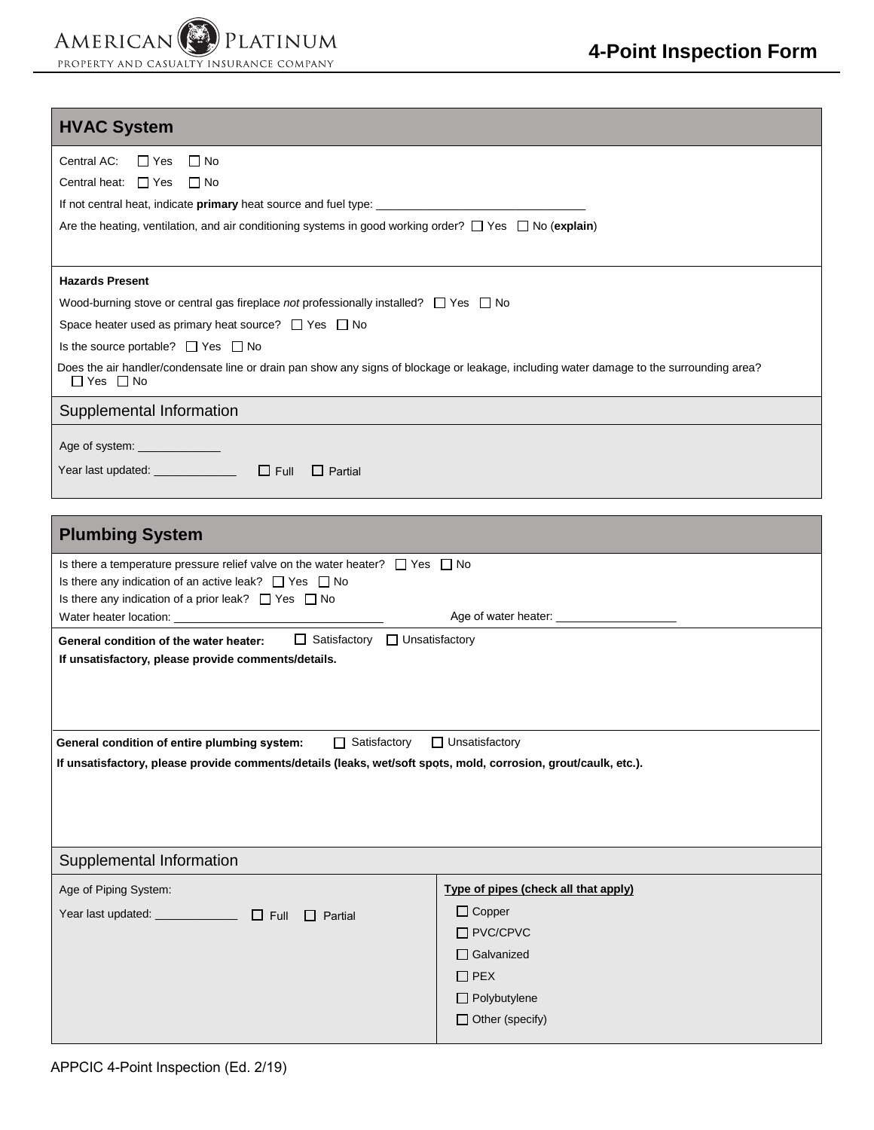# **HVAC System**

| Central AC:<br>∏ Yes □ No                                                                                                                                        |  |  |  |  |  |
|------------------------------------------------------------------------------------------------------------------------------------------------------------------|--|--|--|--|--|
| Central heat: $\Box$ Yes $\Box$ No                                                                                                                               |  |  |  |  |  |
|                                                                                                                                                                  |  |  |  |  |  |
| Are the heating, ventilation, and air conditioning systems in good working order? $\Box$ Yes $\Box$ No (explain)                                                 |  |  |  |  |  |
|                                                                                                                                                                  |  |  |  |  |  |
| <b>Hazards Present</b>                                                                                                                                           |  |  |  |  |  |
| Wood-burning stove or central gas fireplace not professionally installed? $\Box$ Yes $\Box$ No                                                                   |  |  |  |  |  |
| Space heater used as primary heat source? $\Box$ Yes $\Box$ No                                                                                                   |  |  |  |  |  |
| Is the source portable? $\Box$ Yes $\Box$ No                                                                                                                     |  |  |  |  |  |
| Does the air handler/condensate line or drain pan show any signs of blockage or leakage, including water damage to the surrounding area?<br>$\Box$ Yes $\Box$ No |  |  |  |  |  |
| Supplemental Information                                                                                                                                         |  |  |  |  |  |
| Age of system: _______________                                                                                                                                   |  |  |  |  |  |
| Year last updated: $\Box$ $\Box$ Full<br>$\Box$ Partial                                                                                                          |  |  |  |  |  |

| <b>Plumbing System</b>                                                                                                                                                                                                                                                                                                                                                                                                                                                               |                                                                                                                                                              |  |  |  |  |
|--------------------------------------------------------------------------------------------------------------------------------------------------------------------------------------------------------------------------------------------------------------------------------------------------------------------------------------------------------------------------------------------------------------------------------------------------------------------------------------|--------------------------------------------------------------------------------------------------------------------------------------------------------------|--|--|--|--|
| Is there a temperature pressure relief valve on the water heater? $\Box$ Yes $\Box$ No<br>Is there any indication of an active leak? $\Box$ Yes $\Box$ No<br>Is there any indication of a prior leak? $\Box$ Yes $\Box$ No<br>Water heater location: University of the University of the University of the University of the University of the University of the University of the University of the University of the University of the University of the U<br>Age of water heater: |                                                                                                                                                              |  |  |  |  |
| $\Box$ Satisfactory $\Box$ Unsatisfactory<br>General condition of the water heater:<br>If unsatisfactory, please provide comments/details.                                                                                                                                                                                                                                                                                                                                           |                                                                                                                                                              |  |  |  |  |
| $\Box$ Unsatisfactory<br>General condition of entire plumbing system:<br>$\Box$ Satisfactory<br>If unsatisfactory, please provide comments/details (leaks, wet/soft spots, mold, corrosion, grout/caulk, etc.).                                                                                                                                                                                                                                                                      |                                                                                                                                                              |  |  |  |  |
| Supplemental Information                                                                                                                                                                                                                                                                                                                                                                                                                                                             |                                                                                                                                                              |  |  |  |  |
| Age of Piping System:<br>Year last updated: ______________ □ Full □ Partial                                                                                                                                                                                                                                                                                                                                                                                                          | Type of pipes (check all that apply)<br>$\Box$ Copper<br>$\Box$ PVC/CPVC<br>$\Box$ Galvanized<br>$\Box$ PEX<br>$\Box$ Polybutylene<br>$\Box$ Other (specify) |  |  |  |  |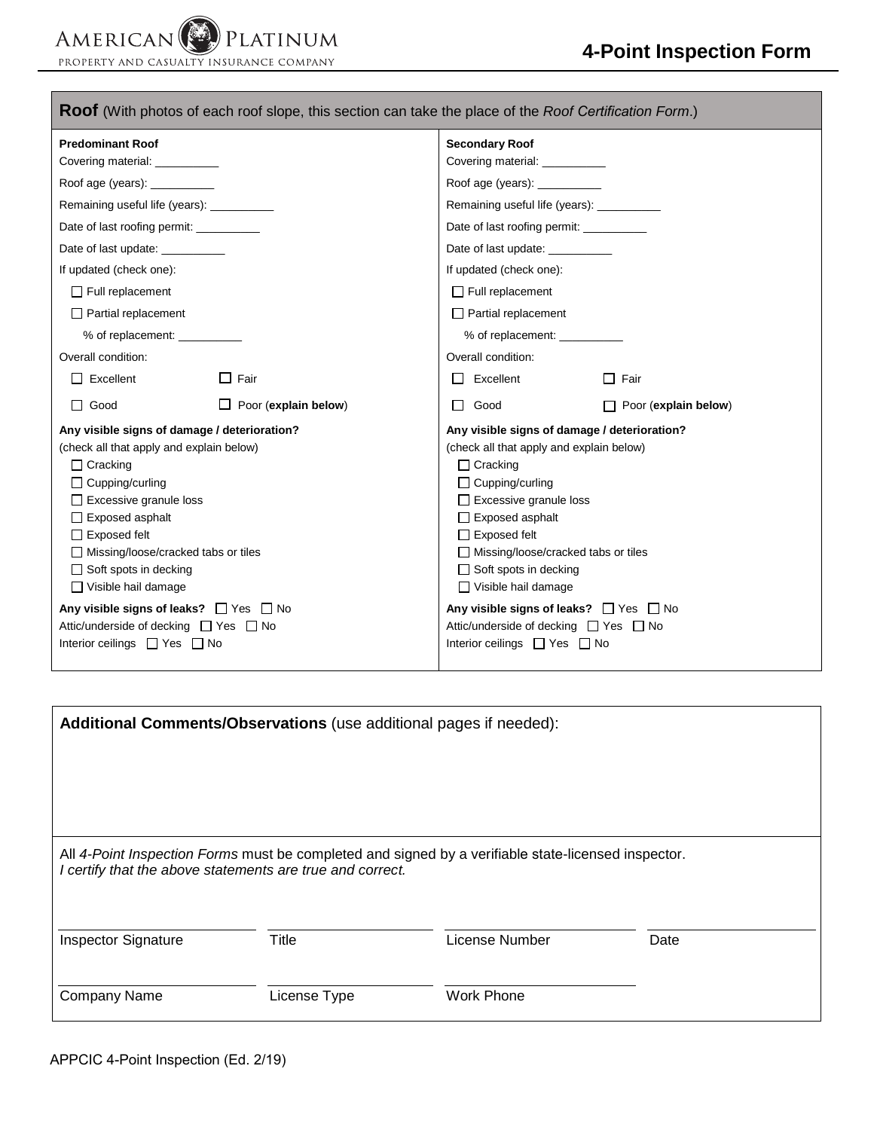PLATINUM AMERICAN PROPERTY AND CASUALTY INSURANCE COMPANY

| <b>Roof</b> (With photos of each roof slope, this section can take the place of the <i>Roof Certification Form</i> .)                                                                                                                                                                                                                                                                                                                                                      |                                                                                                                                                                                                                                                                                                                                                                                                                                                             |  |  |  |  |  |
|----------------------------------------------------------------------------------------------------------------------------------------------------------------------------------------------------------------------------------------------------------------------------------------------------------------------------------------------------------------------------------------------------------------------------------------------------------------------------|-------------------------------------------------------------------------------------------------------------------------------------------------------------------------------------------------------------------------------------------------------------------------------------------------------------------------------------------------------------------------------------------------------------------------------------------------------------|--|--|--|--|--|
| <b>Predominant Roof</b>                                                                                                                                                                                                                                                                                                                                                                                                                                                    | <b>Secondary Roof</b>                                                                                                                                                                                                                                                                                                                                                                                                                                       |  |  |  |  |  |
| Covering material: ___________                                                                                                                                                                                                                                                                                                                                                                                                                                             | Covering material: __________                                                                                                                                                                                                                                                                                                                                                                                                                               |  |  |  |  |  |
| Roof age (years): __________                                                                                                                                                                                                                                                                                                                                                                                                                                               | Roof age (years): ___________                                                                                                                                                                                                                                                                                                                                                                                                                               |  |  |  |  |  |
| Remaining useful life (years): ___________                                                                                                                                                                                                                                                                                                                                                                                                                                 | Remaining useful life (years): ___________                                                                                                                                                                                                                                                                                                                                                                                                                  |  |  |  |  |  |
| Date of last roofing permit: __________                                                                                                                                                                                                                                                                                                                                                                                                                                    | Date of last roofing permit: __________                                                                                                                                                                                                                                                                                                                                                                                                                     |  |  |  |  |  |
| Date of last update: __________                                                                                                                                                                                                                                                                                                                                                                                                                                            | Date of last update: ___________                                                                                                                                                                                                                                                                                                                                                                                                                            |  |  |  |  |  |
| If updated (check one):                                                                                                                                                                                                                                                                                                                                                                                                                                                    | If updated (check one):                                                                                                                                                                                                                                                                                                                                                                                                                                     |  |  |  |  |  |
| $\Box$ Full replacement                                                                                                                                                                                                                                                                                                                                                                                                                                                    | $\Box$ Full replacement                                                                                                                                                                                                                                                                                                                                                                                                                                     |  |  |  |  |  |
| $\Box$ Partial replacement                                                                                                                                                                                                                                                                                                                                                                                                                                                 | $\Box$ Partial replacement                                                                                                                                                                                                                                                                                                                                                                                                                                  |  |  |  |  |  |
| % of replacement:                                                                                                                                                                                                                                                                                                                                                                                                                                                          |                                                                                                                                                                                                                                                                                                                                                                                                                                                             |  |  |  |  |  |
| Overall condition:                                                                                                                                                                                                                                                                                                                                                                                                                                                         | Overall condition:                                                                                                                                                                                                                                                                                                                                                                                                                                          |  |  |  |  |  |
| $\Box$ Fair<br>$\Box$ Excellent                                                                                                                                                                                                                                                                                                                                                                                                                                            | $\Box$ Excellent<br>$\Box$ Fair                                                                                                                                                                                                                                                                                                                                                                                                                             |  |  |  |  |  |
| $\Box$ Good<br>$\Box$ Poor (explain below)                                                                                                                                                                                                                                                                                                                                                                                                                                 | Good<br>$\Box$ Poor (explain below)<br>П                                                                                                                                                                                                                                                                                                                                                                                                                    |  |  |  |  |  |
| Any visible signs of damage / deterioration?<br>(check all that apply and explain below)<br>$\Box$ Cracking<br>$\Box$ Cupping/curling<br>$\Box$ Excessive granule loss<br>$\Box$ Exposed asphalt<br>$\Box$ Exposed felt<br>$\Box$ Missing/loose/cracked tabs or tiles<br>$\Box$ Soft spots in decking<br>$\Box$ Visible hail damage<br>Any visible signs of leaks? $\Box$ Yes $\Box$ No<br>Attic/underside of decking □ Yes □ No<br>Interior ceilings $\Box$ Yes $\Box$ No | Any visible signs of damage / deterioration?<br>(check all that apply and explain below)<br>$\Box$ Cracking<br>$\Box$ Cupping/curling<br>$\Box$ Excessive granule loss<br>$\Box$ Exposed asphalt<br>$\Box$ Exposed felt<br>□ Missing/loose/cracked tabs or tiles<br>$\Box$ Soft spots in decking<br>$\Box$ Visible hail damage<br>Any visible signs of leaks? $\Box$ Yes $\Box$ No<br>Attic/underside of decking □ Yes □ No<br>Interior ceilings □ Yes □ No |  |  |  |  |  |

| Additional Comments/Observations (use additional pages if needed):                                                                                               |              |                |      |  |  |  |  |  |  |
|------------------------------------------------------------------------------------------------------------------------------------------------------------------|--------------|----------------|------|--|--|--|--|--|--|
|                                                                                                                                                                  |              |                |      |  |  |  |  |  |  |
|                                                                                                                                                                  |              |                |      |  |  |  |  |  |  |
| All 4-Point Inspection Forms must be completed and signed by a verifiable state-licensed inspector.<br>I certify that the above statements are true and correct. |              |                |      |  |  |  |  |  |  |
| <b>Inspector Signature</b>                                                                                                                                       | <b>Title</b> | License Number | Date |  |  |  |  |  |  |
| <b>Company Name</b>                                                                                                                                              | License Type | Work Phone     |      |  |  |  |  |  |  |